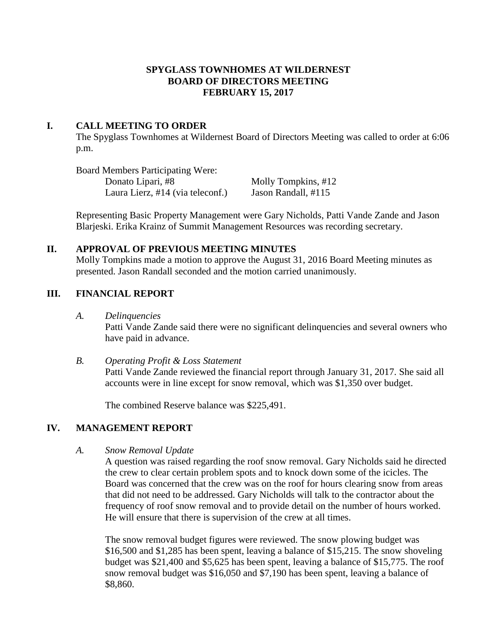## **SPYGLASS TOWNHOMES AT WILDERNEST BOARD OF DIRECTORS MEETING FEBRUARY 15, 2017**

#### **I. CALL MEETING TO ORDER**

The Spyglass Townhomes at Wildernest Board of Directors Meeting was called to order at 6:06 p.m.

Board Members Participating Were: Donato Lipari, #8 Molly Tompkins, #12<br>Laura Lierz, #14 (via teleconf.) Jason Randall, #115 Laura Lierz,  $#14$  (via teleconf.)

Representing Basic Property Management were Gary Nicholds, Patti Vande Zande and Jason Blarjeski. Erika Krainz of Summit Management Resources was recording secretary.

# **II. APPROVAL OF PREVIOUS MEETING MINUTES**

Molly Tompkins made a motion to approve the August 31, 2016 Board Meeting minutes as presented. Jason Randall seconded and the motion carried unanimously.

# **III. FINANCIAL REPORT**

*A. Delinquencies*

Patti Vande Zande said there were no significant delinquencies and several owners who have paid in advance.

#### *B. Operating Profit & Loss Statement*

Patti Vande Zande reviewed the financial report through January 31, 2017. She said all accounts were in line except for snow removal, which was \$1,350 over budget.

The combined Reserve balance was \$225,491.

# **IV. MANAGEMENT REPORT**

# *A. Snow Removal Update*

A question was raised regarding the roof snow removal. Gary Nicholds said he directed the crew to clear certain problem spots and to knock down some of the icicles. The Board was concerned that the crew was on the roof for hours clearing snow from areas that did not need to be addressed. Gary Nicholds will talk to the contractor about the frequency of roof snow removal and to provide detail on the number of hours worked. He will ensure that there is supervision of the crew at all times.

The snow removal budget figures were reviewed. The snow plowing budget was \$16,500 and \$1,285 has been spent, leaving a balance of \$15,215. The snow shoveling budget was \$21,400 and \$5,625 has been spent, leaving a balance of \$15,775. The roof snow removal budget was \$16,050 and \$7,190 has been spent, leaving a balance of \$8,860.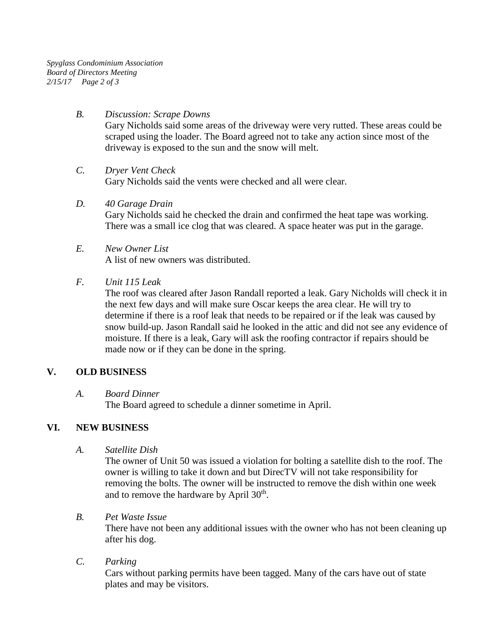*Spyglass Condominium Association Board of Directors Meeting 2/15/17 Page 2 of 3*

## *B. Discussion: Scrape Downs*

Gary Nicholds said some areas of the driveway were very rutted. These areas could be scraped using the loader. The Board agreed not to take any action since most of the driveway is exposed to the sun and the snow will melt.

## *C. Dryer Vent Check*

Gary Nicholds said the vents were checked and all were clear.

## *D. 40 Garage Drain*

Gary Nicholds said he checked the drain and confirmed the heat tape was working. There was a small ice clog that was cleared. A space heater was put in the garage.

## *E. New Owner List* A list of new owners was distributed.

## *F. Unit 115 Leak*

The roof was cleared after Jason Randall reported a leak. Gary Nicholds will check it in the next few days and will make sure Oscar keeps the area clear. He will try to determine if there is a roof leak that needs to be repaired or if the leak was caused by snow build-up. Jason Randall said he looked in the attic and did not see any evidence of moisture. If there is a leak, Gary will ask the roofing contractor if repairs should be made now or if they can be done in the spring.

# **V. OLD BUSINESS**

# *A. Board Dinner*

The Board agreed to schedule a dinner sometime in April.

# **VI. NEW BUSINESS**

*A. Satellite Dish*

The owner of Unit 50 was issued a violation for bolting a satellite dish to the roof. The owner is willing to take it down and but DirecTV will not take responsibility for removing the bolts. The owner will be instructed to remove the dish within one week and to remove the hardware by April  $30<sup>th</sup>$ .

# *B. Pet Waste Issue*

There have not been any additional issues with the owner who has not been cleaning up after his dog.

# *C. Parking*

Cars without parking permits have been tagged. Many of the cars have out of state plates and may be visitors.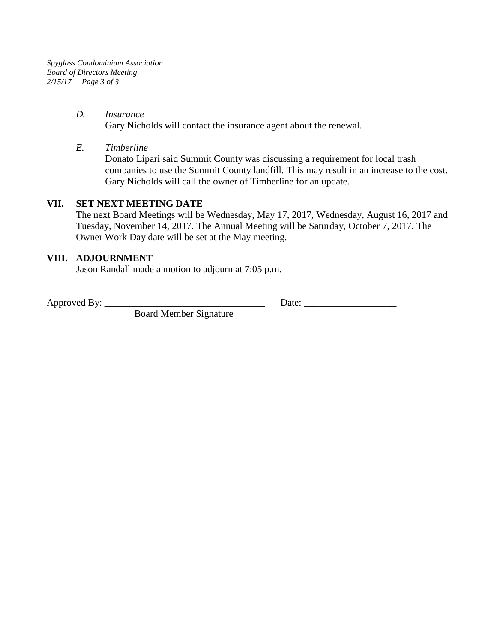*Spyglass Condominium Association Board of Directors Meeting 2/15/17 Page 3 of 3*

#### *D. Insurance*

Gary Nicholds will contact the insurance agent about the renewal.

*E. Timberline*

Donato Lipari said Summit County was discussing a requirement for local trash companies to use the Summit County landfill. This may result in an increase to the cost. Gary Nicholds will call the owner of Timberline for an update.

#### **VII. SET NEXT MEETING DATE**

The next Board Meetings will be Wednesday, May 17, 2017, Wednesday, August 16, 2017 and Tuesday, November 14, 2017. The Annual Meeting will be Saturday, October 7, 2017. The Owner Work Day date will be set at the May meeting.

# **VIII. ADJOURNMENT**

Jason Randall made a motion to adjourn at 7:05 p.m.

Approved By: \_\_\_\_\_\_\_\_\_\_\_\_\_\_\_\_\_\_\_\_\_\_\_\_\_\_\_\_\_\_\_\_\_ Date: \_\_\_\_\_\_\_\_\_\_\_\_\_\_\_\_\_\_\_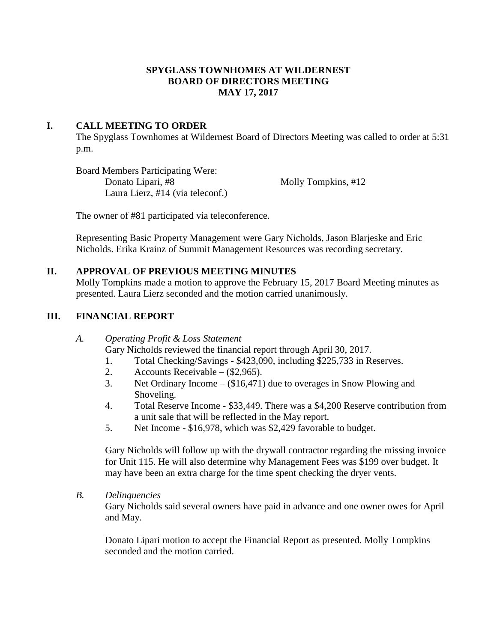#### **SPYGLASS TOWNHOMES AT WILDERNEST BOARD OF DIRECTORS MEETING MAY 17, 2017**

#### **I. CALL MEETING TO ORDER**

The Spyglass Townhomes at Wildernest Board of Directors Meeting was called to order at 5:31 p.m.

Board Members Participating Were: Donato Lipari, #8 Molly Tompkins, #12 Laura Lierz, #14 (via teleconf.)

The owner of #81 participated via teleconference.

Representing Basic Property Management were Gary Nicholds, Jason Blarjeske and Eric Nicholds. Erika Krainz of Summit Management Resources was recording secretary.

#### **II. APPROVAL OF PREVIOUS MEETING MINUTES**

Molly Tompkins made a motion to approve the February 15, 2017 Board Meeting minutes as presented. Laura Lierz seconded and the motion carried unanimously.

#### **III. FINANCIAL REPORT**

*A. Operating Profit & Loss Statement* Gary Nicholds reviewed the financial report through April 30, 2017.

- 1. Total Checking/Savings \$423,090, including \$225,733 in Reserves.
- 2. Accounts Receivable (\$2,965).
- 3. Net Ordinary Income (\$16,471) due to overages in Snow Plowing and Shoveling.
- 4. Total Reserve Income \$33,449. There was a \$4,200 Reserve contribution from a unit sale that will be reflected in the May report.
- 5. Net Income \$16,978, which was \$2,429 favorable to budget.

Gary Nicholds will follow up with the drywall contractor regarding the missing invoice for Unit 115. He will also determine why Management Fees was \$199 over budget. It may have been an extra charge for the time spent checking the dryer vents.

*B. Delinquencies*

Gary Nicholds said several owners have paid in advance and one owner owes for April and May.

Donato Lipari motion to accept the Financial Report as presented. Molly Tompkins seconded and the motion carried.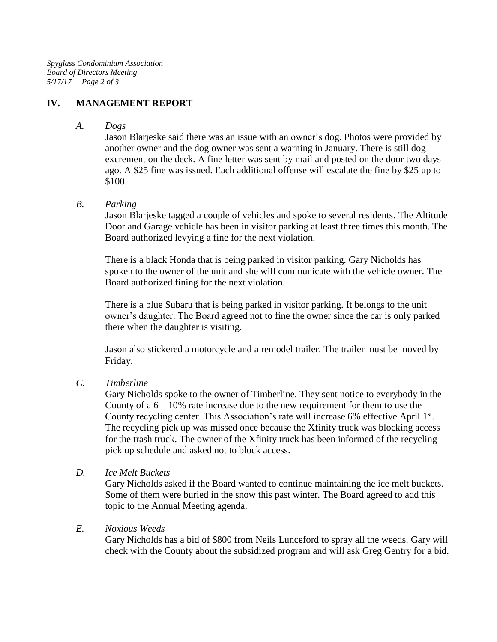# **IV. MANAGEMENT REPORT**

*A. Dogs*

Jason Blarjeske said there was an issue with an owner's dog. Photos were provided by another owner and the dog owner was sent a warning in January. There is still dog excrement on the deck. A fine letter was sent by mail and posted on the door two days ago. A \$25 fine was issued. Each additional offense will escalate the fine by \$25 up to \$100.

## *B. Parking*

Jason Blarjeske tagged a couple of vehicles and spoke to several residents. The Altitude Door and Garage vehicle has been in visitor parking at least three times this month. The Board authorized levying a fine for the next violation.

There is a black Honda that is being parked in visitor parking. Gary Nicholds has spoken to the owner of the unit and she will communicate with the vehicle owner. The Board authorized fining for the next violation.

There is a blue Subaru that is being parked in visitor parking. It belongs to the unit owner's daughter. The Board agreed not to fine the owner since the car is only parked there when the daughter is visiting.

Jason also stickered a motorcycle and a remodel trailer. The trailer must be moved by Friday.

*C. Timberline*

Gary Nicholds spoke to the owner of Timberline. They sent notice to everybody in the County of a  $6 - 10\%$  rate increase due to the new requirement for them to use the County recycling center. This Association's rate will increase 6% effective April 1st. The recycling pick up was missed once because the Xfinity truck was blocking access for the trash truck. The owner of the Xfinity truck has been informed of the recycling pick up schedule and asked not to block access.

*D. Ice Melt Buckets*

Gary Nicholds asked if the Board wanted to continue maintaining the ice melt buckets. Some of them were buried in the snow this past winter. The Board agreed to add this topic to the Annual Meeting agenda.

# *E. Noxious Weeds*

Gary Nicholds has a bid of \$800 from Neils Lunceford to spray all the weeds. Gary will check with the County about the subsidized program and will ask Greg Gentry for a bid.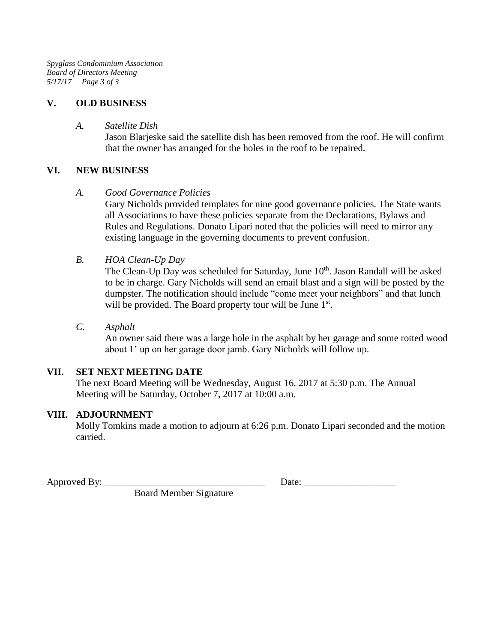*Spyglass Condominium Association Board of Directors Meeting 5/17/17 Page 3 of 3*

# **V. OLD BUSINESS**

#### *A. Satellite Dish*

Jason Blarjeske said the satellite dish has been removed from the roof. He will confirm that the owner has arranged for the holes in the roof to be repaired.

## **VI. NEW BUSINESS**

#### *A. Good Governance Policies*

Gary Nicholds provided templates for nine good governance policies. The State wants all Associations to have these policies separate from the Declarations, Bylaws and Rules and Regulations. Donato Lipari noted that the policies will need to mirror any existing language in the governing documents to prevent confusion.

## *B. HOA Clean-Up Day*

The Clean-Up Day was scheduled for Saturday, June 10<sup>th</sup>. Jason Randall will be asked to be in charge. Gary Nicholds will send an email blast and a sign will be posted by the dumpster. The notification should include "come meet your neighbors" and that lunch will be provided. The Board property tour will be June 1<sup>st</sup>.

#### *C. Asphalt*

An owner said there was a large hole in the asphalt by her garage and some rotted wood about 1' up on her garage door jamb. Gary Nicholds will follow up.

# **VII. SET NEXT MEETING DATE**

The next Board Meeting will be Wednesday, August 16, 2017 at 5:30 p.m. The Annual Meeting will be Saturday, October 7, 2017 at 10:00 a.m.

# **VIII. ADJOURNMENT**

Molly Tomkins made a motion to adjourn at 6:26 p.m. Donato Lipari seconded and the motion carried.

Approved By: \_\_\_\_\_\_\_\_\_\_\_\_\_\_\_\_\_\_\_\_\_\_\_\_\_\_\_\_\_\_\_\_\_ Date: \_\_\_\_\_\_\_\_\_\_\_\_\_\_\_\_\_\_\_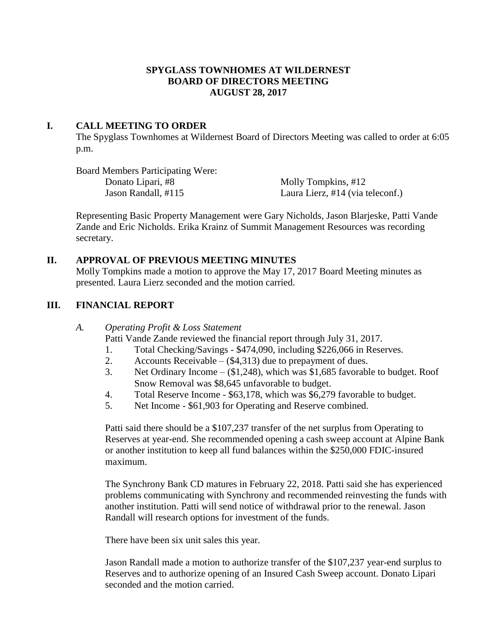#### **SPYGLASS TOWNHOMES AT WILDERNEST BOARD OF DIRECTORS MEETING AUGUST 28, 2017**

#### **I. CALL MEETING TO ORDER**

The Spyglass Townhomes at Wildernest Board of Directors Meeting was called to order at 6:05 p.m.

Board Members Participating Were: Donato Lipari, #8 Molly Tompkins, #12

Jason Randall, #115 Laura Lierz, #14 (via teleconf.)

Representing Basic Property Management were Gary Nicholds, Jason Blarjeske, Patti Vande Zande and Eric Nicholds. Erika Krainz of Summit Management Resources was recording secretary.

#### **II. APPROVAL OF PREVIOUS MEETING MINUTES**

Molly Tompkins made a motion to approve the May 17, 2017 Board Meeting minutes as presented. Laura Lierz seconded and the motion carried.

## **III. FINANCIAL REPORT**

#### *A. Operating Profit & Loss Statement*

Patti Vande Zande reviewed the financial report through July 31, 2017.

- 1. Total Checking/Savings \$474,090, including \$226,066 in Reserves.
- 2. Accounts Receivable (\$4,313) due to prepayment of dues.
- 3. Net Ordinary Income (\$1,248), which was \$1,685 favorable to budget. Roof Snow Removal was \$8,645 unfavorable to budget.
- 4. Total Reserve Income \$63,178, which was \$6,279 favorable to budget.
- 5. Net Income \$61,903 for Operating and Reserve combined.

Patti said there should be a \$107,237 transfer of the net surplus from Operating to Reserves at year-end. She recommended opening a cash sweep account at Alpine Bank or another institution to keep all fund balances within the \$250,000 FDIC-insured maximum.

The Synchrony Bank CD matures in February 22, 2018. Patti said she has experienced problems communicating with Synchrony and recommended reinvesting the funds with another institution. Patti will send notice of withdrawal prior to the renewal. Jason Randall will research options for investment of the funds.

There have been six unit sales this year.

Jason Randall made a motion to authorize transfer of the \$107,237 year-end surplus to Reserves and to authorize opening of an Insured Cash Sweep account. Donato Lipari seconded and the motion carried.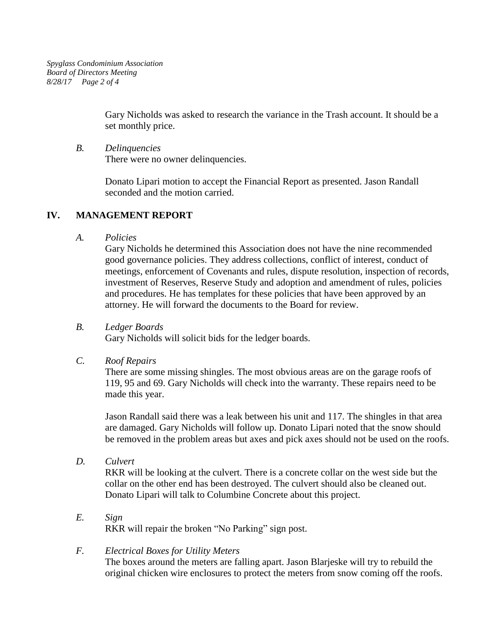Gary Nicholds was asked to research the variance in the Trash account. It should be a set monthly price.

*B. Delinquencies* There were no owner delinquencies.

> Donato Lipari motion to accept the Financial Report as presented. Jason Randall seconded and the motion carried.

# **IV. MANAGEMENT REPORT**

*A. Policies*

Gary Nicholds he determined this Association does not have the nine recommended good governance policies. They address collections, conflict of interest, conduct of meetings, enforcement of Covenants and rules, dispute resolution, inspection of records, investment of Reserves, Reserve Study and adoption and amendment of rules, policies and procedures. He has templates for these policies that have been approved by an attorney. He will forward the documents to the Board for review.

*B. Ledger Boards*

Gary Nicholds will solicit bids for the ledger boards.

*C. Roof Repairs*

There are some missing shingles. The most obvious areas are on the garage roofs of 119, 95 and 69. Gary Nicholds will check into the warranty. These repairs need to be made this year.

Jason Randall said there was a leak between his unit and 117. The shingles in that area are damaged. Gary Nicholds will follow up. Donato Lipari noted that the snow should be removed in the problem areas but axes and pick axes should not be used on the roofs.

*D. Culvert*

RKR will be looking at the culvert. There is a concrete collar on the west side but the collar on the other end has been destroyed. The culvert should also be cleaned out. Donato Lipari will talk to Columbine Concrete about this project.

*E. Sign* RKR will repair the broken "No Parking" sign post.

# *F. Electrical Boxes for Utility Meters*

The boxes around the meters are falling apart. Jason Blarjeske will try to rebuild the original chicken wire enclosures to protect the meters from snow coming off the roofs.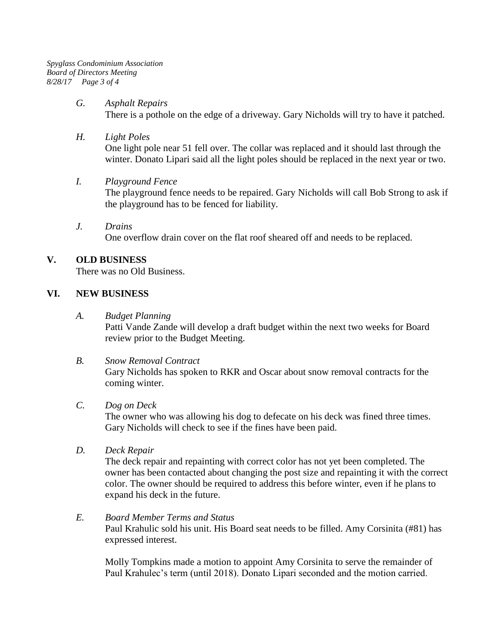*Spyglass Condominium Association Board of Directors Meeting 8/28/17 Page 3 of 4*

#### *G. Asphalt Repairs*

There is a pothole on the edge of a driveway. Gary Nicholds will try to have it patched.

#### *H. Light Poles*

One light pole near 51 fell over. The collar was replaced and it should last through the winter. Donato Lipari said all the light poles should be replaced in the next year or two.

#### *I. Playground Fence*

The playground fence needs to be repaired. Gary Nicholds will call Bob Strong to ask if the playground has to be fenced for liability.

*J. Drains* One overflow drain cover on the flat roof sheared off and needs to be replaced.

## **V. OLD BUSINESS**

There was no Old Business.

#### **VI. NEW BUSINESS**

*A. Budget Planning*

Patti Vande Zande will develop a draft budget within the next two weeks for Board review prior to the Budget Meeting.

#### *B. Snow Removal Contract*

Gary Nicholds has spoken to RKR and Oscar about snow removal contracts for the coming winter.

#### *C. Dog on Deck*

The owner who was allowing his dog to defecate on his deck was fined three times. Gary Nicholds will check to see if the fines have been paid.

*D. Deck Repair*

The deck repair and repainting with correct color has not yet been completed. The owner has been contacted about changing the post size and repainting it with the correct color. The owner should be required to address this before winter, even if he plans to expand his deck in the future.

## *E. Board Member Terms and Status*

Paul Krahulic sold his unit. His Board seat needs to be filled. Amy Corsinita (#81) has expressed interest.

Molly Tompkins made a motion to appoint Amy Corsinita to serve the remainder of Paul Krahulec's term (until 2018). Donato Lipari seconded and the motion carried.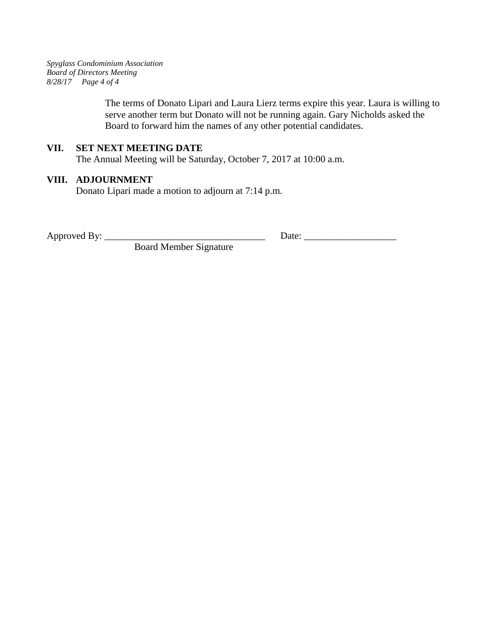*Spyglass Condominium Association Board of Directors Meeting 8/28/17 Page 4 of 4*

> The terms of Donato Lipari and Laura Lierz terms expire this year. Laura is willing to serve another term but Donato will not be running again. Gary Nicholds asked the Board to forward him the names of any other potential candidates.

### **VII. SET NEXT MEETING DATE**

The Annual Meeting will be Saturday, October 7, 2017 at 10:00 a.m.

# **VIII. ADJOURNMENT**

Donato Lipari made a motion to adjourn at 7:14 p.m.

Approved By: \_\_\_\_\_\_\_\_\_\_\_\_\_\_\_\_\_\_\_\_\_\_\_\_\_\_\_\_\_\_\_\_\_ Date: \_\_\_\_\_\_\_\_\_\_\_\_\_\_\_\_\_\_\_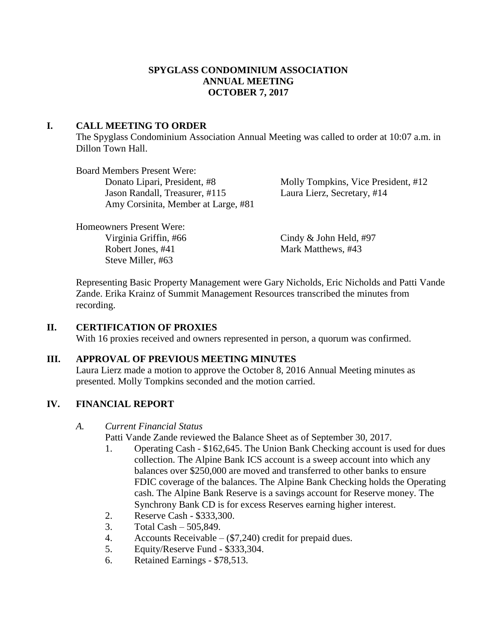## **SPYGLASS CONDOMINIUM ASSOCIATION ANNUAL MEETING OCTOBER 7, 2017**

## **I. CALL MEETING TO ORDER**

The Spyglass Condominium Association Annual Meeting was called to order at 10:07 a.m. in Dillon Town Hall.

Board Members Present Were: Jason Randall, Treasurer, #115 Laura Lierz, Secretary, #14 Amy Corsinita, Member at Large, #81

Donato Lipari, President, #8 Molly Tompkins, Vice President, #12

Homeowners Present Were: Virginia Griffin, #66 Cindy & John Held, #97 Robert Jones, #41 Mark Matthews, #43 Steve Miller, #63

Representing Basic Property Management were Gary Nicholds, Eric Nicholds and Patti Vande Zande. Erika Krainz of Summit Management Resources transcribed the minutes from recording.

# **II. CERTIFICATION OF PROXIES**

With 16 proxies received and owners represented in person, a quorum was confirmed.

# **III. APPROVAL OF PREVIOUS MEETING MINUTES**

Laura Lierz made a motion to approve the October 8, 2016 Annual Meeting minutes as presented. Molly Tompkins seconded and the motion carried.

# **IV. FINANCIAL REPORT**

# *A. Current Financial Status*

Patti Vande Zande reviewed the Balance Sheet as of September 30, 2017.

- 1. Operating Cash \$162,645. The Union Bank Checking account is used for dues collection. The Alpine Bank ICS account is a sweep account into which any balances over \$250,000 are moved and transferred to other banks to ensure FDIC coverage of the balances. The Alpine Bank Checking holds the Operating cash. The Alpine Bank Reserve is a savings account for Reserve money. The Synchrony Bank CD is for excess Reserves earning higher interest.
- 2. Reserve Cash \$333,300.
- 3. Total Cash 505,849.
- 4. Accounts Receivable (\$7,240) credit for prepaid dues.
- 5. Equity/Reserve Fund \$333,304.
- 6. Retained Earnings \$78,513.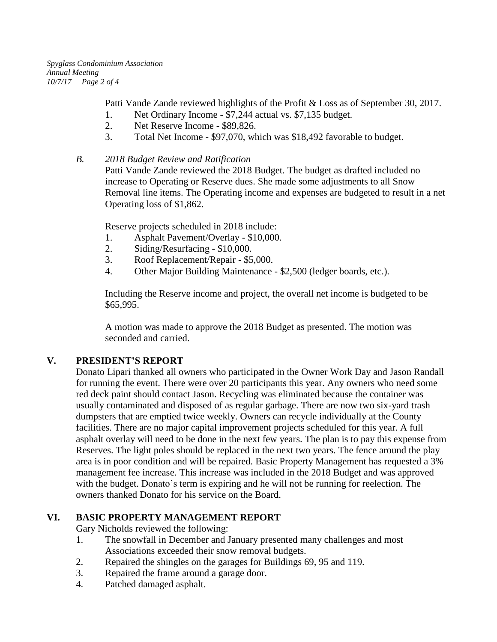*Spyglass Condominium Association Annual Meeting 10/7/17 Page 2 of 4*

Patti Vande Zande reviewed highlights of the Profit & Loss as of September 30, 2017.

- 1. Net Ordinary Income \$7,244 actual vs. \$7,135 budget.
- 2. Net Reserve Income \$89,826.
- 3. Total Net Income \$97,070, which was \$18,492 favorable to budget.
- *B. 2018 Budget Review and Ratification*

Patti Vande Zande reviewed the 2018 Budget. The budget as drafted included no increase to Operating or Reserve dues. She made some adjustments to all Snow Removal line items. The Operating income and expenses are budgeted to result in a net Operating loss of \$1,862.

Reserve projects scheduled in 2018 include:

- 1. Asphalt Pavement/Overlay \$10,000.
- 2. Siding/Resurfacing \$10,000.
- 3. Roof Replacement/Repair \$5,000.
- 4. Other Major Building Maintenance \$2,500 (ledger boards, etc.).

Including the Reserve income and project, the overall net income is budgeted to be \$65,995.

A motion was made to approve the 2018 Budget as presented. The motion was seconded and carried.

# **V. PRESIDENT'S REPORT**

Donato Lipari thanked all owners who participated in the Owner Work Day and Jason Randall for running the event. There were over 20 participants this year. Any owners who need some red deck paint should contact Jason. Recycling was eliminated because the container was usually contaminated and disposed of as regular garbage. There are now two six-yard trash dumpsters that are emptied twice weekly. Owners can recycle individually at the County facilities. There are no major capital improvement projects scheduled for this year. A full asphalt overlay will need to be done in the next few years. The plan is to pay this expense from Reserves. The light poles should be replaced in the next two years. The fence around the play area is in poor condition and will be repaired. Basic Property Management has requested a 3% management fee increase. This increase was included in the 2018 Budget and was approved with the budget. Donato's term is expiring and he will not be running for reelection. The owners thanked Donato for his service on the Board.

# **VI. BASIC PROPERTY MANAGEMENT REPORT**

Gary Nicholds reviewed the following:

- 1. The snowfall in December and January presented many challenges and most Associations exceeded their snow removal budgets.
- 2. Repaired the shingles on the garages for Buildings 69, 95 and 119.
- 3. Repaired the frame around a garage door.
- 4. Patched damaged asphalt.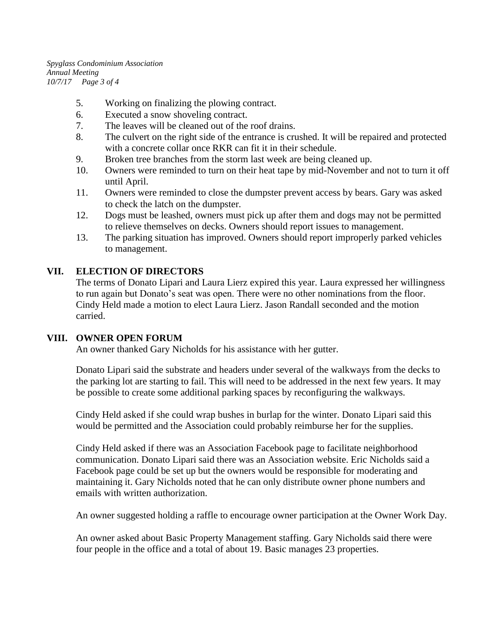*Spyglass Condominium Association Annual Meeting 10/7/17 Page 3 of 4*

- 5. Working on finalizing the plowing contract.
- 6. Executed a snow shoveling contract.
- 7. The leaves will be cleaned out of the roof drains.
- 8. The culvert on the right side of the entrance is crushed. It will be repaired and protected with a concrete collar once RKR can fit it in their schedule.
- 9. Broken tree branches from the storm last week are being cleaned up.
- 10. Owners were reminded to turn on their heat tape by mid-November and not to turn it off until April.
- 11. Owners were reminded to close the dumpster prevent access by bears. Gary was asked to check the latch on the dumpster.
- 12. Dogs must be leashed, owners must pick up after them and dogs may not be permitted to relieve themselves on decks. Owners should report issues to management.
- 13. The parking situation has improved. Owners should report improperly parked vehicles to management.

#### **VII. ELECTION OF DIRECTORS**

The terms of Donato Lipari and Laura Lierz expired this year. Laura expressed her willingness to run again but Donato's seat was open. There were no other nominations from the floor. Cindy Held made a motion to elect Laura Lierz. Jason Randall seconded and the motion carried.

#### **VIII. OWNER OPEN FORUM**

An owner thanked Gary Nicholds for his assistance with her gutter.

Donato Lipari said the substrate and headers under several of the walkways from the decks to the parking lot are starting to fail. This will need to be addressed in the next few years. It may be possible to create some additional parking spaces by reconfiguring the walkways.

Cindy Held asked if she could wrap bushes in burlap for the winter. Donato Lipari said this would be permitted and the Association could probably reimburse her for the supplies.

Cindy Held asked if there was an Association Facebook page to facilitate neighborhood communication. Donato Lipari said there was an Association website. Eric Nicholds said a Facebook page could be set up but the owners would be responsible for moderating and maintaining it. Gary Nicholds noted that he can only distribute owner phone numbers and emails with written authorization.

An owner suggested holding a raffle to encourage owner participation at the Owner Work Day.

An owner asked about Basic Property Management staffing. Gary Nicholds said there were four people in the office and a total of about 19. Basic manages 23 properties.